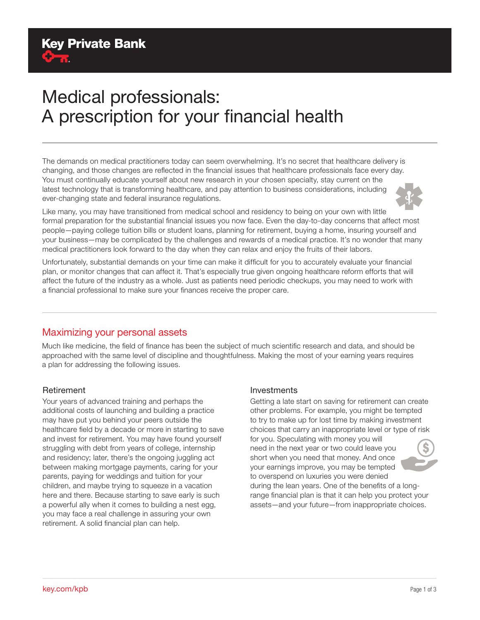# Medical professionals: A prescription for your financial health

The demands on medical practitioners today can seem overwhelming. It's no secret that healthcare delivery is changing, and those changes are reflected in the financial issues that healthcare professionals face every day. You must continually educate yourself about new research in your chosen specialty, stay current on the latest technology that is transforming healthcare, and pay attention to business considerations, including ever-changing state and federal insurance regulations.



Like many, you may have transitioned from medical school and residency to being on your own with little formal preparation for the substantial financial issues you now face. Even the day-to-day concerns that affect most people—paying college tuition bills or student loans, planning for retirement, buying a home, insuring yourself and your business—may be complicated by the challenges and rewards of a medical practice. It's no wonder that many medical practitioners look forward to the day when they can relax and enjoy the fruits of their labors.

Unfortunately, substantial demands on your time can make it difficult for you to accurately evaluate your financial plan, or monitor changes that can affect it. That's especially true given ongoing healthcare reform efforts that will affect the future of the industry as a whole. Just as patients need periodic checkups, you may need to work with a financial professional to make sure your finances receive the proper care.

## Maximizing your personal assets

Much like medicine, the field of finance has been the subject of much scientific research and data, and should be approached with the same level of discipline and thoughtfulness. Making the most of your earning years requires a plan for addressing the following issues.

### Retirement

Your years of advanced training and perhaps the additional costs of launching and building a practice may have put you behind your peers outside the healthcare field by a decade or more in starting to save and invest for retirement. You may have found yourself struggling with debt from years of college, internship and residency; later, there's the ongoing juggling act between making mortgage payments, caring for your parents, paying for weddings and tuition for your children, and maybe trying to squeeze in a vacation here and there. Because starting to save early is such a powerful ally when it comes to building a nest egg, you may face a real challenge in assuring your own retirement. A solid financial plan can help.

#### Investments

Getting a late start on saving for retirement can create other problems. For example, you might be tempted to try to make up for lost time by making investment choices that carry an inappropriate level or type of risk for you. Speculating with money you will need in the next year or two could leave you short when you need that money. And once your earnings improve, you may be tempted to overspend on luxuries you were denied during the lean years. One of the benefits of a longrange financial plan is that it can help you protect your assets—and your future—from inappropriate choices.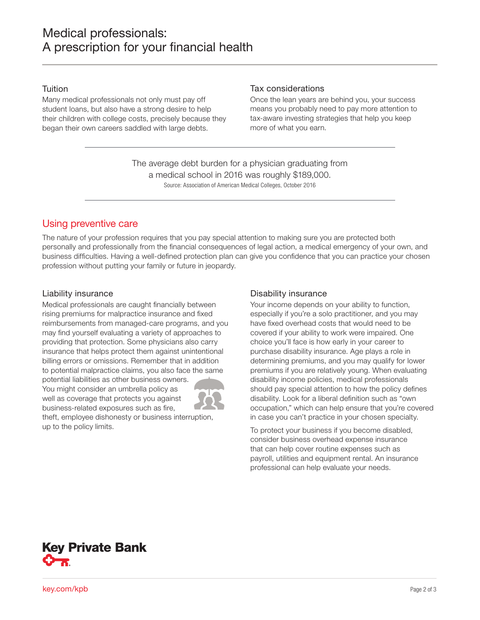#### **Tuition**

Many medical professionals not only must pay off student loans, but also have a strong desire to help their children with college costs, precisely because they began their own careers saddled with large debts.

#### Tax considerations

Once the lean years are behind you, your success means you probably need to pay more attention to tax-aware investing strategies that help you keep more of what you earn.

Source: Association of American Medical Colleges, October 2016 The average debt burden for a physician graduating from a medical school in 2016 was roughly \$189,000.

## Using preventive care

The nature of your profession requires that you pay special attention to making sure you are protected both personally and professionally from the financial consequences of legal action, a medical emergency of your own, and business difficulties. Having a well-defined protection plan can give you confidence that you can practice your chosen profession without putting your family or future in jeopardy.

### Liability insurance

Medical professionals are caught financially between rising premiums for malpractice insurance and fixed reimbursements from managed-care programs, and you may find yourself evaluating a variety of approaches to providing that protection. Some physicians also carry insurance that helps protect them against unintentional billing errors or omissions. Remember that in addition to potential malpractice claims, you also face the same

potential liabilities as other business owners. You might consider an umbrella policy as well as coverage that protects you against business-related exposures such as fire,



theft, employee dishonesty or business interruption, up to the policy limits.

## Disability insurance

Your income depends on your ability to function, especially if you're a solo practitioner, and you may have fixed overhead costs that would need to be covered if your ability to work were impaired. One choice you'll face is how early in your career to purchase disability insurance. Age plays a role in determining premiums, and you may qualify for lower premiums if you are relatively young. When evaluating disability income policies, medical professionals should pay special attention to how the policy defines disability. Look for a liberal definition such as "own occupation," which can help ensure that you're covered in case you can't practice in your chosen specialty.

To protect your business if you become disabled, consider business overhead expense insurance that can help cover routine expenses such as payroll, utilities and equipment rental. An insurance professional can help evaluate your needs.



key.com/kpb Page 2 of 3